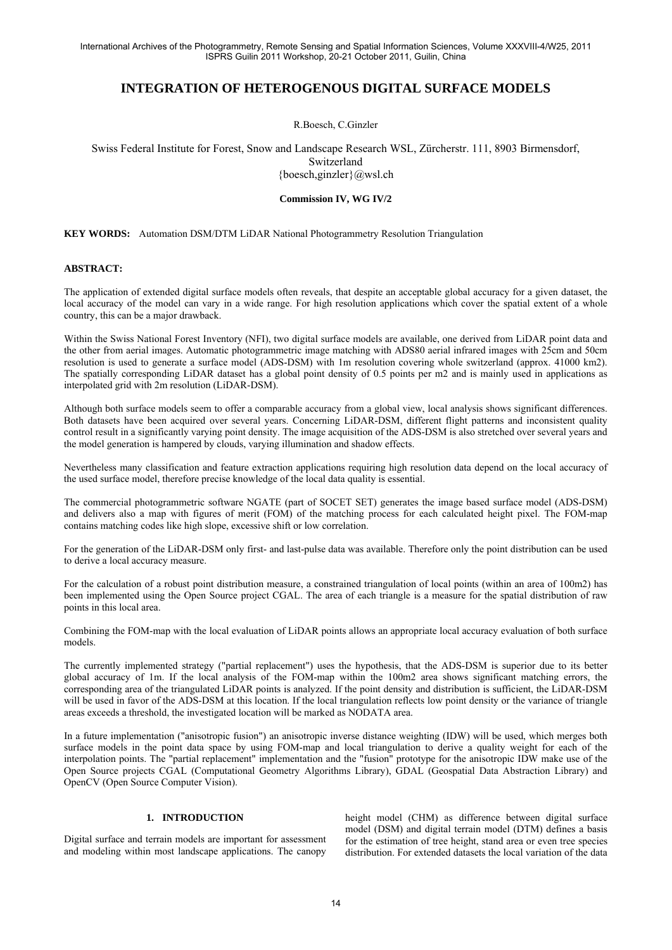# **INTEGRATION OF HETEROGENOUS DIGITAL SURFACE MODELS**

R.Boesch, C.Ginzler

Swiss Federal Institute for Forest, Snow and Landscape Research WSL, Zürcherstr. 111, 8903 Birmensdorf, Switzerland {boesch,ginzler}@wsl.ch

#### **Commission IV, WG IV/2**

**KEY WORDS:** Automation DSM/DTM LiDAR National Photogrammetry Resolution Triangulation

#### **ABSTRACT:**

The application of extended digital surface models often reveals, that despite an acceptable global accuracy for a given dataset, the local accuracy of the model can vary in a wide range. For high resolution applications which cover the spatial extent of a whole country, this can be a major drawback.

Within the Swiss National Forest Inventory (NFI), two digital surface models are available, one derived from LiDAR point data and the other from aerial images. Automatic photogrammetric image matching with ADS80 aerial infrared images with 25cm and 50cm resolution is used to generate a surface model (ADS-DSM) with 1m resolution covering whole switzerland (approx. 41000 km2). The spatially corresponding LiDAR dataset has a global point density of 0.5 points per m2 and is mainly used in applications as interpolated grid with 2m resolution (LiDAR-DSM).

Although both surface models seem to offer a comparable accuracy from a global view, local analysis shows significant differences. Both datasets have been acquired over several years. Concerning LiDAR-DSM, different flight patterns and inconsistent quality control result in a significantly varying point density. The image acquisition of the ADS-DSM is also stretched over several years and the model generation is hampered by clouds, varying illumination and shadow effects.

Nevertheless many classification and feature extraction applications requiring high resolution data depend on the local accuracy of the used surface model, therefore precise knowledge of the local data quality is essential.

The commercial photogrammetric software NGATE (part of SOCET SET) generates the image based surface model (ADS-DSM) and delivers also a map with figures of merit (FOM) of the matching process for each calculated height pixel. The FOM-map contains matching codes like high slope, excessive shift or low correlation.

For the generation of the LiDAR-DSM only first- and last-pulse data was available. Therefore only the point distribution can be used to derive a local accuracy measure.

For the calculation of a robust point distribution measure, a constrained triangulation of local points (within an area of 100m2) has been implemented using the Open Source project CGAL. The area of each triangle is a measure for the spatial distribution of raw points in this local area.

Combining the FOM-map with the local evaluation of LiDAR points allows an appropriate local accuracy evaluation of both surface models.

The currently implemented strategy ("partial replacement") uses the hypothesis, that the ADS-DSM is superior due to its better global accuracy of 1m. If the local analysis of the FOM-map within the 100m2 area shows significant matching errors, the corresponding area of the triangulated LiDAR points is analyzed. If the point density and distribution is sufficient, the LiDAR-DSM will be used in favor of the ADS-DSM at this location. If the local triangulation reflects low point density or the variance of triangle areas exceeds a threshold, the investigated location will be marked as NODATA area.

In a future implementation ("anisotropic fusion") an anisotropic inverse distance weighting (IDW) will be used, which merges both surface models in the point data space by using FOM-map and local triangulation to derive a quality weight for each of the interpolation points. The "partial replacement" implementation and the "fusion" prototype for the anisotropic IDW make use of the Open Source projects CGAL (Computational Geometry Algorithms Library), GDAL (Geospatial Data Abstraction Library) and OpenCV (Open Source Computer Vision).

## **1. INTRODUCTION**

Digital surface and terrain models are important for assessment and modeling within most landscape applications. The canopy

height model (CHM) as difference between digital surface model (DSM) and digital terrain model (DTM) defines a basis for the estimation of tree height, stand area or even tree species distribution. For extended datasets the local variation of the data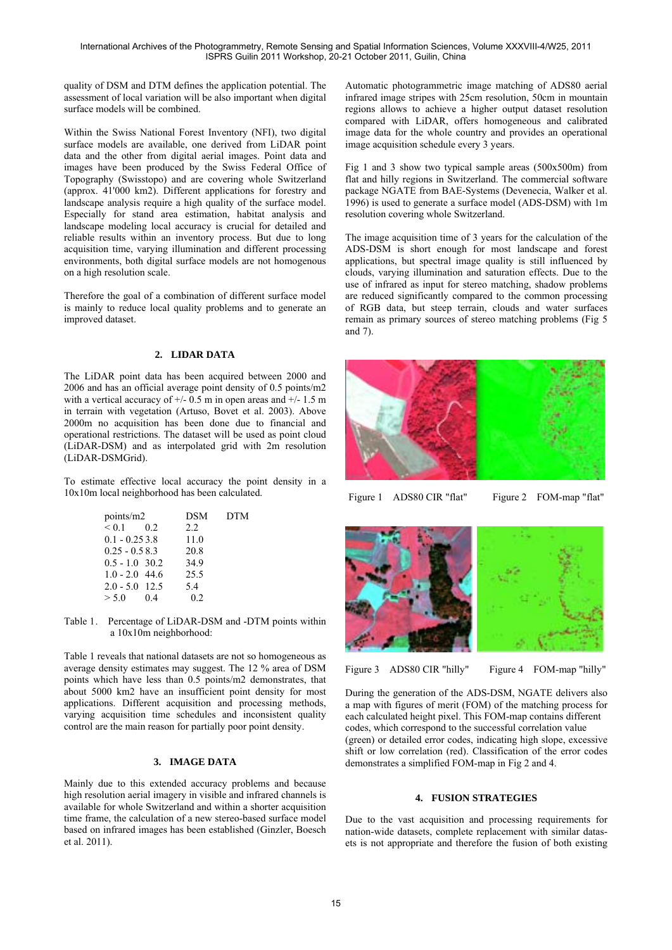quality of DSM and DTM defines the application potential. The assessment of local variation will be also important when digital surface models will be combined.

Within the Swiss National Forest Inventory (NFI), two digital surface models are available, one derived from LiDAR point data and the other from digital aerial images. Point data and images have been produced by the Swiss Federal Office of Topography (Swisstopo) and are covering whole Switzerland (approx. 41'000 km2). Different applications for forestry and landscape analysis require a high quality of the surface model. Especially for stand area estimation, habitat analysis and landscape modeling local accuracy is crucial for detailed and reliable results within an inventory process. But due to long acquisition time, varying illumination and different processing environments, both digital surface models are not homogenous on a high resolution scale.

Therefore the goal of a combination of different surface model is mainly to reduce local quality problems and to generate an improved dataset.

#### **2. LIDAR DATA**

The LiDAR point data has been acquired between 2000 and 2006 and has an official average point density of 0.5 points/m2 with a vertical accuracy of  $+/- 0.5$  m in open areas and  $+/- 1.5$  m in terrain with vegetation (Artuso, Bovet et al. 2003). Above 2000m no acquisition has been done due to financial and operational restrictions. The dataset will be used as point cloud (LiDAR-DSM) and as interpolated grid with 2m resolution (LiDAR-DSMGrid).

To estimate effective local accuracy the point density in a 10x10m local neighborhood has been calculated.

| points/m2        |    | DSM  | DTM |
|------------------|----|------|-----|
| $< 0.1$ 0.2      |    | 2.2  |     |
| $0.1 - 0.253.8$  |    | 11.0 |     |
| $0.25 - 0.583$   |    | 20.8 |     |
| $0.5 - 1.0$ 30.2 |    | 34.9 |     |
| $1.0 - 2.0$ 44.6 |    | 25.5 |     |
| $2.0 - 5.0$ 12.5 |    | 5.4  |     |
| > 5.0            | 04 | 02   |     |

Table 1. Percentage of LiDAR-DSM and -DTM points within a 10x10m neighborhood:

Table 1 reveals that national datasets are not so homogeneous as average density estimates may suggest. The 12 % area of DSM points which have less than 0.5 points/m2 demonstrates, that about 5000 km2 have an insufficient point density for most applications. Different acquisition and processing methods, varying acquisition time schedules and inconsistent quality control are the main reason for partially poor point density.

## **3. IMAGE DATA**

Mainly due to this extended accuracy problems and because high resolution aerial imagery in visible and infrared channels is available for whole Switzerland and within a shorter acquisition time frame, the calculation of a new stereo-based surface model based on infrared images has been established (Ginzler, Boesch et al. 2011).

Automatic photogrammetric image matching of ADS80 aerial infrared image stripes with 25cm resolution, 50cm in mountain regions allows to achieve a higher output dataset resolution compared with LiDAR, offers homogeneous and calibrated image data for the whole country and provides an operational image acquisition schedule every 3 years.

Fig 1 and 3 show two typical sample areas (500x500m) from flat and hilly regions in Switzerland. The commercial software package NGATE from BAE-Systems (Devenecia, Walker et al. 1996) is used to generate a surface model (ADS-DSM) with 1m resolution covering whole Switzerland.

The image acquisition time of 3 years for the calculation of the ADS-DSM is short enough for most landscape and forest applications, but spectral image quality is still influenced by clouds, varying illumination and saturation effects. Due to the use of infrared as input for stereo matching, shadow problems are reduced significantly compared to the common processing of RGB data, but steep terrain, clouds and water surfaces remain as primary sources of stereo matching problems (Fig 5 and 7).



Figure 1 ADS80 CIR "flat" Figure 2 FOM-map "flat"



Figure 3 ADS80 CIR "hilly" Figure 4 FOM-map "hilly"

During the generation of the ADS-DSM, NGATE delivers also a map with figures of merit (FOM) of the matching process for each calculated height pixel. This FOM-map contains different codes, which correspond to the successful correlation value (green) or detailed error codes, indicating high slope, excessive shift or low correlation (red). Classification of the error codes demonstrates a simplified FOM-map in Fig 2 and 4.

## **4. FUSION STRATEGIES**

Due to the vast acquisition and processing requirements for nation-wide datasets, complete replacement with similar datasets is not appropriate and therefore the fusion of both existing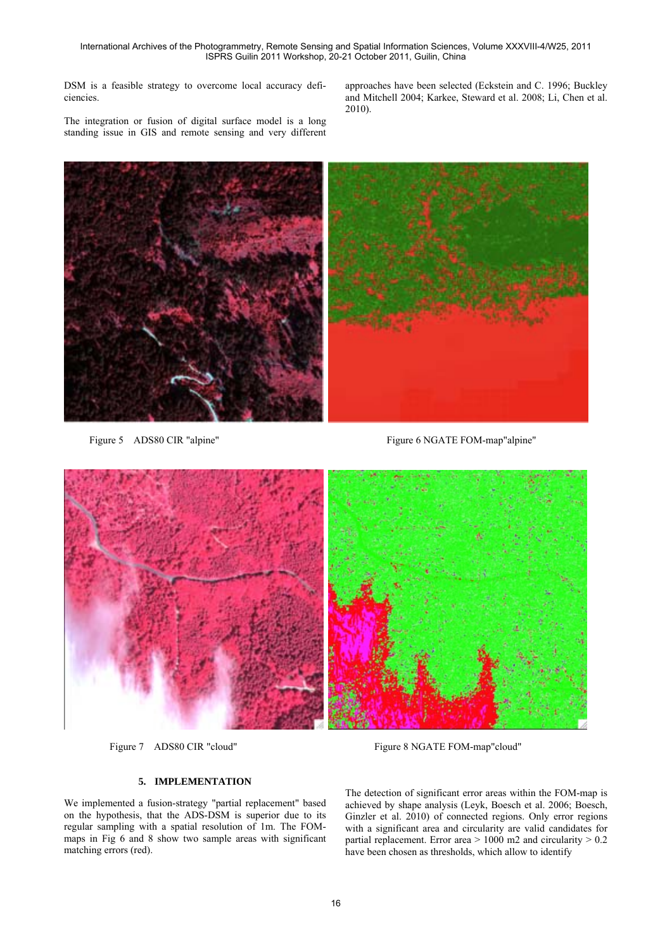DSM is a feasible strategy to overcome local accuracy deficiencies.

The integration or fusion of digital surface model is a long standing issue in GIS and remote sensing and very different approaches have been selected (Eckstein and C. 1996; Buckley and Mitchell 2004; Karkee, Steward et al. 2008; Li, Chen et al. 2010).



Figure 5 ADS80 CIR "alpine" Figure 6 NGATE FOM-map"alpine"



Figure 7 ADS80 CIR "cloud" Figure 8 NGATE FOM-map"cloud"

### **5. IMPLEMENTATION**

We implemented a fusion-strategy "partial replacement" based on the hypothesis, that the ADS-DSM is superior due to its regular sampling with a spatial resolution of 1m. The FOMmaps in Fig 6 and 8 show two sample areas with significant matching errors (red).

The detection of significant error areas within the FOM-map is achieved by shape analysis (Leyk, Boesch et al. 2006; Boesch, Ginzler et al. 2010) of connected regions. Only error regions with a significant area and circularity are valid candidates for partial replacement. Error area  $> 1000$  m2 and circularity  $> 0.2$ have been chosen as thresholds, which allow to identify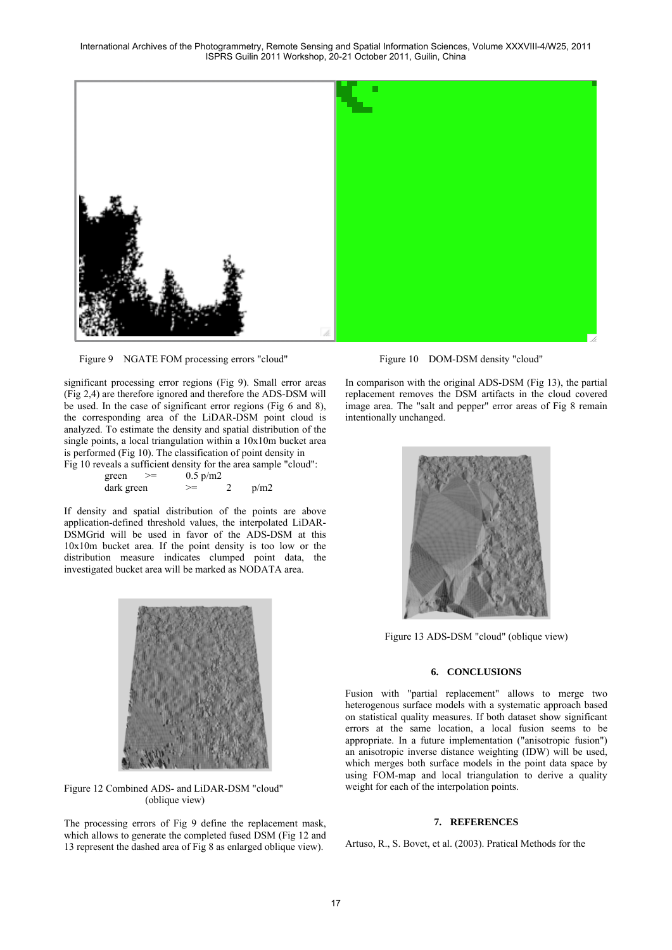

Figure 9 NGATE FOM processing errors "cloud" Figure 10 DOM-DSM density "cloud"

significant processing error regions (Fig 9). Small error areas (Fig 2,4) are therefore ignored and therefore the ADS-DSM will be used. In the case of significant error regions (Fig 6 and 8), the corresponding area of the LiDAR-DSM point cloud is analyzed. To estimate the density and spatial distribution of the single points, a local triangulation within a 10x10m bucket area is performed (Fig 10). The classification of point density in

Fig 10 reveals a sufficient density for the area sample "cloud":

| green      | $0.5 \text{ p/m2}$ |      |
|------------|--------------------|------|
| dark green | ➢                  | p/m2 |

If density and spatial distribution of the points are above application-defined threshold values, the interpolated LiDAR-DSMGrid will be used in favor of the ADS-DSM at this 10x10m bucket area. If the point density is too low or the distribution measure indicates clumped point data, the investigated bucket area will be marked as NODATA area.



Figure 12 Combined ADS- and LiDAR-DSM "cloud" (oblique view)

The processing errors of Fig 9 define the replacement mask, which allows to generate the completed fused DSM (Fig 12 and 13 represent the dashed area of Fig 8 as enlarged oblique view).

In comparison with the original ADS-DSM (Fig 13), the partial replacement removes the DSM artifacts in the cloud covered image area. The "salt and pepper" error areas of Fig 8 remain intentionally unchanged.



Figure 13 ADS-DSM "cloud" (oblique view)

## **6. CONCLUSIONS**

Fusion with "partial replacement" allows to merge two heterogenous surface models with a systematic approach based on statistical quality measures. If both dataset show significant errors at the same location, a local fusion seems to be appropriate. In a future implementation ("anisotropic fusion") an anisotropic inverse distance weighting (IDW) will be used, which merges both surface models in the point data space by using FOM-map and local triangulation to derive a quality weight for each of the interpolation points.

#### **7. REFERENCES**

Artuso, R., S. Bovet, et al. (2003). Pratical Methods for the